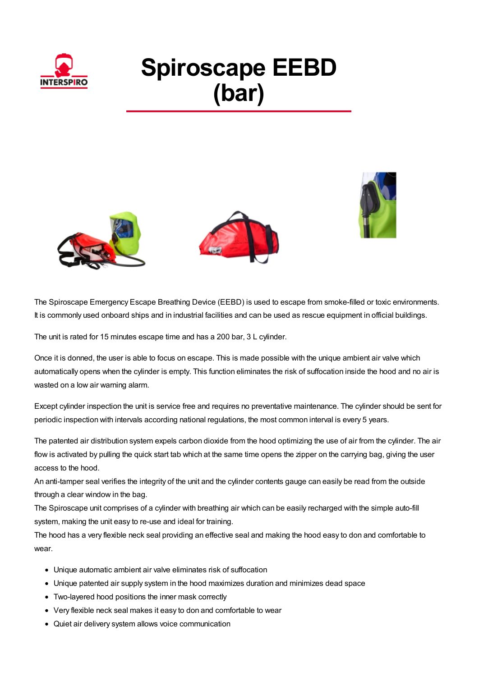

## **Spiroscape EEBD (bar)**







The Spiroscape Emergency Escape Breathing Device (EEBD) is used to escape from smoke-filled or toxic environments. It is commonly used onboard ships and in industrial facilities and can be used as rescue equipment in official buildings.

The unit is rated for 15 minutes escape time and has a 200 bar, 3 L cylinder.

Once it is donned, the user is able to focus on escape. This is made possible with the unique ambient air valve which automatically opens when the cylinder is empty. This function eliminates the risk of suffocation inside the hood and no air is wasted on a low air warning alarm.

Except cylinder inspection the unit is service free and requires no preventative maintenance. The cylinder should be sent for periodic inspection with intervals according national regulations, the most common interval is every 5 years.

The patented air distribution system expels carbon dioxide from the hood optimizing the use of air from the cylinder. The air flow is activated by pulling the quick start tab which at the same time opens the zipper on the carrying bag, giving the user access to the hood.

An anti-tamper seal verifies the integrity of the unit and the cylinder contents gauge can easily be read from the outside through a clear window in the bag.

The Spiroscape unit comprises of a cylinder with breathing air which can be easily recharged with the simple auto-fill system, making the unit easy to re-use and ideal for training.

The hood has a very flexible neck seal providing an effective seal and making the hood easy to don and comfortable to wear.

- Unique automatic ambient air valve eliminates risk of suffocation
- Unique patented air supply system in the hood maximizes duration and minimizes dead space
- Two-layered hood positions the inner mask correctly
- Very flexible neck seal makes it easy to don and comfortable to wear
- Quiet air delivery system allows voice communication